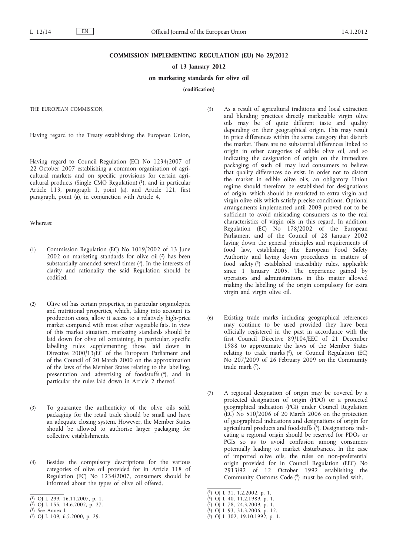#### **COMMISSION IMPLEMENTING REGULATION (EU) No 29/2012**

#### **of 13 January 2012**

### **on marketing standards for olive oil**

**(codification)**

THE EUROPEAN COMMISSION,

Having regard to the Treaty establishing the European Union,

Having regard to Council Regulation (EC) No 1234/2007 of 22 October 2007 establishing a common organisation of agricultural markets and on specific provisions for certain agricultural products (Single CMO Regulation)  $(1)$ , and in particular Article 113, paragraph 1, point (a), and Article 121, first paragraph, point (a), in conjunction with Article 4,

### Whereas:

- (1) Commission Regulation (EC) No 1019/2002 of 13 June 2002 on marketing standards for olive oil (2) has been substantially amended several times  $(3)$ . In the interests of clarity and rationality the said Regulation should be codified.
- (2) Olive oil has certain properties, in particular organoleptic and nutritional properties, which, taking into account its production costs, allow it access to a relatively high-price market compared with most other vegetable fats. In view of this market situation, marketing standards should be laid down for olive oil containing, in particular, specific labelling rules supplementing those laid down in Directive 2000/13/EC of the European Parliament and of the Council of 20 March 2000 on the approximation of the laws of the Member States relating to the labelling, presentation and advertising of foodstuffs (4), and in particular the rules laid down in Article 2 thereof.
- (3) To guarantee the authenticity of the olive oils sold, packaging for the retail trade should be small and have an adequate closing system. However, the Member States should be allowed to authorise larger packaging for collective establishments.
- (4) Besides the compulsory descriptions for the various categories of olive oil provided for in Article 118 of Regulation (EC) No 1234/2007, consumers should be informed about the types of olive oil offered.
- ( 1) OJ L 299, 16.11.2007, p. 1.

- ( 3) See Annex I.
- ( 4) OJ L 109, 6.5.2000, p. 29.
- (5) As a result of agricultural traditions and local extraction and blending practices directly marketable virgin olive oils may be of quite different taste and quality depending on their geographical origin. This may result in price differences within the same category that disturb the market. There are no substantial differences linked to origin in other categories of edible olive oil, and so indicating the designation of origin on the immediate packaging of such oil may lead consumers to believe that quality differences do exist. In order not to distort the market in edible olive oils, an obligatory Union regime should therefore be established for designations of origin, which should be restricted to extra virgin and virgin olive oils which satisfy precise conditions. Optional arrangements implemented until 2009 proved not to be sufficient to avoid misleading consumers as to the real characteristics of virgin oils in this regard. In addition, Regulation (EC) No 178/2002 of the European Parliament and of the Council of 28 January 2002 laying down the general principles and requirements of food law, establishing the European Food Safety Authority and laying down procedures in matters of food safety (5) established traceability rules, applicable since 1 January 2005. The experience gained by operators and administrations in this matter allowed making the labelling of the origin compulsory for extra virgin and virgin olive oil.
- (6) Existing trade marks including geographical references may continue to be used provided they have been officially registered in the past in accordance with the first Council Directive 89/104/EEC of 21 December 1988 to approximate the laws of the Member States relating to trade marks (6), or Council Regulation (EC) No 207/2009 of 26 February 2009 on the Community trade mark (7).
- (7) A regional designation of origin may be covered by a protected designation of origin (PDO) or a protected geographical indication (PGI) under Council Regulation (EC) No 510/2006 of 20 March 2006 on the protection of geographical indications and designations of origin for agricultural products and foodstuffs (8). Designations indicating a regional origin should be reserved for PDOs or PGIs so as to avoid confusion among consumers potentially leading to market disturbances. In the case of imported olive oils, the rules on non-preferential origin provided for in Council Regulation (EEC) No 2913/92 of 12 October 1992 establishing the Community Customs Code (9) must be complied with.

( 9) OJ L 302, 19.10.1992, p. 1.

<sup>(</sup> 2) OJ L 155, 14.6.2002, p. 27.

<sup>(</sup> 5) OJ L 31, 1.2.2002, p. 1.

<sup>(</sup> 6) OJ L 40, 11.2.1989, p. 1.

<sup>(</sup> 7) OJ L 78, 24.3.2009, p. 1.

<sup>(</sup> 8) OJ L 93, 31.3.2006, p. 12.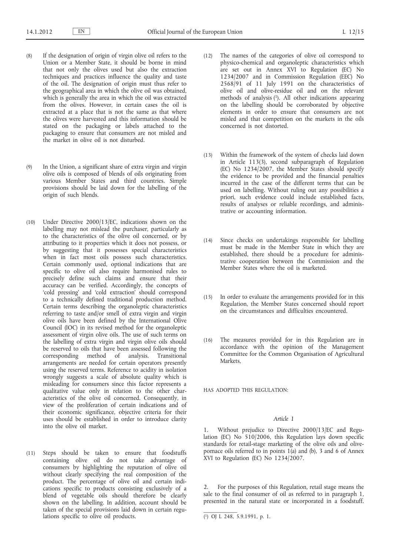- (8) If the designation of origin of virgin olive oil refers to the Union or a Member State, it should be borne in mind that not only the olives used but also the extraction techniques and practices influence the quality and taste of the oil. The designation of origin must thus refer to the geographical area in which the olive oil was obtained, which is generally the area in which the oil was extracted from the olives. However, in certain cases the oil is extracted at a place that is not the same as that where the olives were harvested and this information should be stated on the packaging or labels attached to the packaging to ensure that consumers are not misled and the market in olive oil is not disturbed.
- (9) In the Union, a significant share of extra virgin and virgin olive oils is composed of blends of oils originating from various Member States and third countries. Simple provisions should be laid down for the labelling of the origin of such blends.
- (10) Under Directive 2000/13/EC, indications shown on the labelling may not mislead the purchaser, particularly as to the characteristics of the olive oil concerned, or by attributing to it properties which it does not possess, or by suggesting that it possesses special characteristics when in fact most oils possess such characteristics. Certain commonly used, optional indications that are specific to olive oil also require harmonised rules to precisely define such claims and ensure that their accuracy can be verified. Accordingly, the concepts of 'cold pressing' and 'cold extraction' should correspond to a technically defined traditional production method. Certain terms describing the organoleptic characteristics referring to taste and/or smell of extra virgin and virgin olive oils have been defined by the International Olive Council (IOC) in its revised method for the organoleptic assessment of virgin olive oils. The use of such terms on the labelling of extra virgin and virgin olive oils should be reserved to oils that have been assessed following the corresponding method of analysis. Transitional arrangements are needed for certain operators presently using the reserved terms. Reference to acidity in isolation wrongly suggests a scale of absolute quality which is misleading for consumers since this factor represents a qualitative value only in relation to the other characteristics of the olive oil concerned. Consequently, in view of the proliferation of certain indications and of their economic significance, objective criteria for their uses should be established in order to introduce clarity into the olive oil market.
- (11) Steps should be taken to ensure that foodstuffs containing olive oil do not take advantage of consumers by highlighting the reputation of olive oil without clearly specifying the real composition of the product. The percentage of olive oil and certain indications specific to products consisting exclusively of a blend of vegetable oils should therefore be clearly shown on the labelling. In addition, account should be taken of the special provisions laid down in certain regulations specific to olive oil products.
- (12) The names of the categories of olive oil correspond to physico-chemical and organoleptic characteristics which are set out in Annex XVI to Regulation (EC) No 1234/2007 and in Commission Regulation (EEC) No 2568/91 of 11 July 1991 on the characteristics of olive oil and olive-residue oil and on the relevant methods of analysis (1). All other indications appearing on the labelling should be corroborated by objective elements in order to ensure that consumers are not misled and that competition on the markets in the oils concerned is not distorted.
- (13) Within the framework of the system of checks laid down in Article 113(3), second subparagraph of Regulation (EC) No 1234/2007, the Member States should specify the evidence to be provided and the financial penalties incurred in the case of the different terms that can be used on labelling. Without ruling out any possibilities a priori, such evidence could include established facts, results of analyses or reliable recordings, and administrative or accounting information.
- (14) Since checks on undertakings responsible for labelling must be made in the Member State in which they are established, there should be a procedure for administrative cooperation between the Commission and the Member States where the oil is marketed.
- (15) In order to evaluate the arrangements provided for in this Regulation, the Member States concerned should report on the circumstances and difficulties encountered.
- (16) The measures provided for in this Regulation are in accordance with the opinion of the Management Committee for the Common Organisation of Agricultural Markets,

HAS ADOPTED THIS REGULATION:

### *Article 1*

1. Without prejudice to Directive 2000/13/EC and Regulation (EC) No 510/2006, this Regulation lays down specific standards for retail-stage marketing of the olive oils and olivepomace oils referred to in points  $1(a)$  and  $(b)$ , 3 and 6 of Annex  $XVI$  to Regulation (EC) No  $1234/2007$ .

For the purposes of this Regulation, retail stage means the sale to the final consumer of oil as referred to in paragraph 1, presented in the natural state or incorporated in a foodstuff.

<sup>(</sup> 1) OJ L 248, 5.9.1991, p. 1.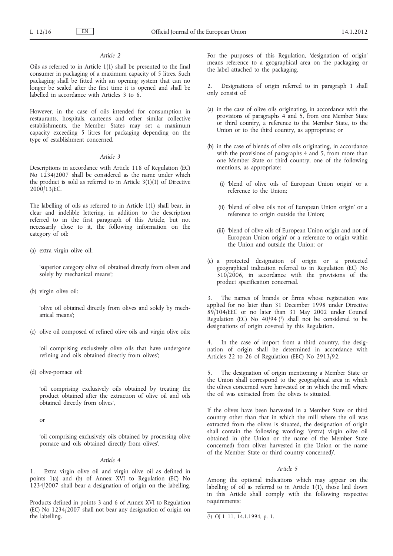### *Article 2*

Oils as referred to in Article 1(1) shall be presented to the final consumer in packaging of a maximum capacity of 5 litres. Such packaging shall be fitted with an opening system that can no longer be sealed after the first time it is opened and shall be labelled in accordance with Articles 3 to 6.

However, in the case of oils intended for consumption in restaurants, hospitals, canteens and other similar collective establishments, the Member States may set a maximum capacity exceeding 5 litres for packaging depending on the type of establishment concerned.

#### *Article 3*

Descriptions in accordance with Article 118 of Regulation (EC) No 1234/2007 shall be considered as the name under which the product is sold as referred to in Article  $3(1)(1)$  of Directive 2000/13/EC.

The labelling of oils as referred to in Article 1(1) shall bear, in clear and indelible lettering, in addition to the description referred to in the first paragraph of this Article, but not necessarily close to it, the following information on the category of oil:

(a) extra virgin olive oil:

'superior category olive oil obtained directly from olives and solely by mechanical means';

(b) virgin olive oil:

'olive oil obtained directly from olives and solely by mechanical means';

(c) olive oil composed of refined olive oils and virgin olive oils:

'oil comprising exclusively olive oils that have undergone refining and oils obtained directly from olives';

(d) olive-pomace oil:

'oil comprising exclusively oils obtained by treating the product obtained after the extraction of olive oil and oils obtained directly from olives',

or

'oil comprising exclusively oils obtained by processing olive pomace and oils obtained directly from olives'.

### *Article 4*

1. Extra virgin olive oil and virgin olive oil as defined in points 1(a) and (b) of Annex XVI to Regulation (EC) No 1234/2007 shall bear a designation of origin on the labelling.

Products defined in points 3 and 6 of Annex XVI to Regulation (EC) No 1234/2007 shall not bear any designation of origin on the labelling.

For the purposes of this Regulation, 'designation of origin' means reference to a geographical area on the packaging or the label attached to the packaging.

2. Designations of origin referred to in paragraph 1 shall only consist of:

- (a) in the case of olive oils originating, in accordance with the provisions of paragraphs 4 and 5, from one Member State or third country, a reference to the Member State, to the Union or to the third country, as appropriate; or
- (b) in the case of blends of olive oils originating, in accordance with the provisions of paragraphs 4 and 5, from more than one Member State or third country, one of the following mentions, as appropriate:
	- (i) 'blend of olive oils of European Union origin' or a reference to the Union;
	- (ii) 'blend of olive oils not of European Union origin' or a reference to origin outside the Union;
	- (iii) 'blend of olive oils of European Union origin and not of European Union origin' or a reference to origin within the Union and outside the Union; or
- (c) a protected designation of origin or a protected geographical indication referred to in Regulation (EC) No 510/2006, in accordance with the provisions of the product specification concerned.

3. The names of brands or firms whose registration was applied for no later than 31 December 1998 under Directive 89/104/EEC or no later than 31 May 2002 under Council Regulation (EC) No  $40/94$  (1) shall not be considered to be designations of origin covered by this Regulation.

In the case of import from a third country, the designation of origin shall be determined in accordance with Articles 22 to 26 of Regulation (EEC) No 2913/92.

5. The designation of origin mentioning a Member State or the Union shall correspond to the geographical area in which the olives concerned were harvested or in which the mill where the oil was extracted from the olives is situated.

If the olives have been harvested in a Member State or third country other than that in which the mill where the oil was extracted from the olives is situated, the designation of origin shall contain the following wording: '(extra) virgin olive oil obtained in (the Union or the name of the Member State concerned) from olives harvested in (the Union or the name of the Member State or third country concerned)'.

### *Article 5*

Among the optional indications which may appear on the labelling of oil as referred to in Article 1(1), those laid down in this Article shall comply with the following respective requirements:

<sup>(</sup> 1) OJ L 11, 14.1.1994, p. 1.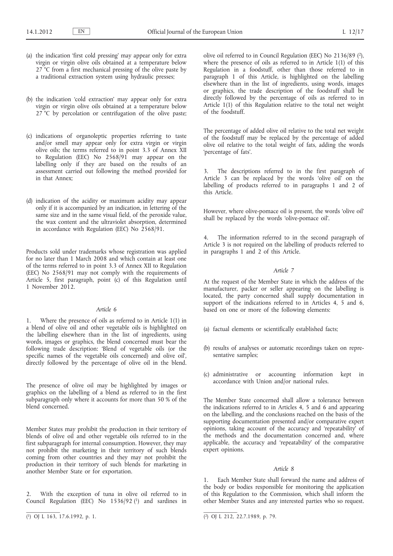- (a) the indication 'first cold pressing' may appear only for extra virgin or virgin olive oils obtained at a temperature below 27<sup>°</sup>C from a first mechanical pressing of the olive paste by a traditional extraction system using hydraulic presses;
- (b) the indication 'cold extraction' may appear only for extra virgin or virgin olive oils obtained at a temperature below 27<sup>°</sup>C by percolation or centrifugation of the olive paste;
- (c) indications of organoleptic properties referring to taste and/or smell may appear only for extra virgin or virgin olive oils; the terms referred to in point 3.3 of Annex XII to Regulation (EEC) No  $2568/91$  may appear on the labelling only if they are based on the results of an assessment carried out following the method provided for in that Annex;
- (d) indication of the acidity or maximum acidity may appear only if it is accompanied by an indication, in lettering of the same size and in the same visual field, of the peroxide value, the wax content and the ultraviolet absorption, determined in accordance with Regulation (EEC) No 2568/91.

Products sold under trademarks whose registration was applied for no later than 1 March 2008 and which contain at least one of the terms referred to in point 3.3 of Annex XII to Regulation (EEC) No 2568/91 may not comply with the requirements of Article 5, first paragraph, point (c) of this Regulation until 1 November 2012.

#### *Article 6*

1. Where the presence of oils as referred to in Article 1(1) in a blend of olive oil and other vegetable oils is highlighted on the labelling elsewhere than in the list of ingredients, using words, images or graphics, the blend concerned must bear the following trade description: 'Blend of vegetable oils (or the specific names of the vegetable oils concerned) and olive oil', directly followed by the percentage of olive oil in the blend.

The presence of olive oil may be highlighted by images or graphics on the labelling of a blend as referred to in the first subparagraph only where it accounts for more than 50 % of the blend concerned.

Member States may prohibit the production in their territory of blends of olive oil and other vegetable oils referred to in the first subparagraph for internal consumption. However, they may not prohibit the marketing in their territory of such blends coming from other countries and they may not prohibit the production in their territory of such blends for marketing in another Member State or for exportation.

2. With the exception of tuna in olive oil referred to in Council Regulation (EEC) No  $1536/92$  (1) and sardines in olive oil referred to in Council Regulation (EEC) No 2136/89 (2), where the presence of oils as referred to in Article 1(1) of this Regulation in a foodstuff, other than those referred to in paragraph 1 of this Article, is highlighted on the labelling elsewhere than in the list of ingredients, using words, images or graphics, the trade description of the foodstuff shall be directly followed by the percentage of oils as referred to in Article 1(1) of this Regulation relative to the total net weight of the foodstuff.

The percentage of added olive oil relative to the total net weight of the foodstuff may be replaced by the percentage of added olive oil relative to the total weight of fats, adding the words 'percentage of fats'.

3. The descriptions referred to in the first paragraph of Article 3 can be replaced by the words 'olive oil' on the labelling of products referred to in paragraphs 1 and 2 of this Article.

However, where olive-pomace oil is present, the words 'olive oil' shall be replaced by the words 'olive-pomace oil'.

4. The information referred to in the second paragraph of Article 3 is not required on the labelling of products referred to in paragraphs 1 and 2 of this Article.

### *Article 7*

At the request of the Member State in which the address of the manufacturer, packer or seller appearing on the labelling is located, the party concerned shall supply documentation in support of the indications referred to in Articles 4, 5 and 6, based on one or more of the following elements:

- (a) factual elements or scientifically established facts;
- (b) results of analyses or automatic recordings taken on representative samples;
- (c) administrative or accounting information kept in accordance with Union and/or national rules.

The Member State concerned shall allow a tolerance between the indications referred to in Articles 4, 5 and 6 and appearing on the labelling, and the conclusions reached on the basis of the supporting documentation presented and/or comparative expert opinions, taking account of the accuracy and 'repeatability' of the methods and the documentation concerned and, where applicable, the accuracy and 'repeatability' of the comparative expert opinions.

#### *Article 8*

1. Each Member State shall forward the name and address of the body or bodies responsible for monitoring the application of this Regulation to the Commission, which shall inform the other Member States and any interested parties who so request.

 $\overline{(^2)}$  OJ L 212, 22.7.1989, p. 79.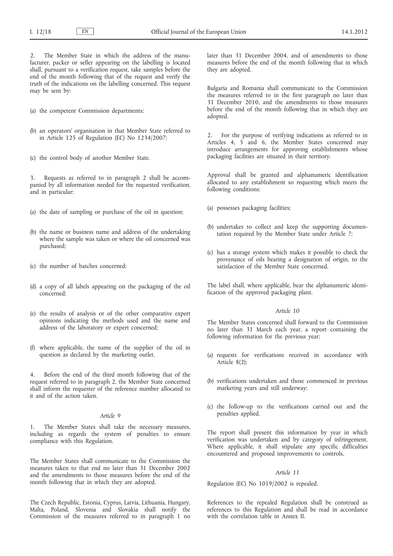The Member State in which the address of the manufacturer, packer or seller appearing on the labelling is located shall, pursuant to a verification request, take samples before the end of the month following that of the request and verify the truth of the indications on the labelling concerned. This request may be sent by:

- (a) the competent Commission departments;
- (b) an operators' organisation in that Member State referred to in Article 125 of Regulation (EC) No 1234/2007;
- (c) the control body of another Member State.

Requests as referred to in paragraph 2 shall be accompanied by all information needed for the requested verification, and in particular:

- (a) the date of sampling or purchase of the oil in question;
- (b) the name or business name and address of the undertaking where the sample was taken or where the oil concerned was purchased;
- (c) the number of batches concerned;
- (d) a copy of all labels appearing on the packaging of the oil concerned;
- (e) the results of analysis or of the other comparative expert opinions indicating the methods used and the name and address of the laboratory or expert concerned;
- (f) where applicable, the name of the supplier of the oil in question as declared by the marketing outlet.

4. Before the end of the third month following that of the request referred to in paragraph 2, the Member State concerned shall inform the requester of the reference number allocated to it and of the action taken.

### *Article 9*

1. The Member States shall take the necessary measures, including as regards the system of penalties to ensure compliance with this Regulation.

The Member States shall communicate to the Commission the measures taken to that end no later than 31 December 2002 and the amendments to those measures before the end of the month following that in which they are adopted.

The Czech Republic, Estonia, Cyprus, Latvia, Lithuania, Hungary, Malta, Poland, Slovenia and Slovakia shall notify the Commission of the measures referred to in paragraph 1 no later than 31 December 2004, and of amendments to those measures before the end of the month following that in which they are adopted.

Bulgaria and Romania shall communicate to the Commission the measures referred to in the first paragraph no later than 31 December 2010, and the amendments to those measures before the end of the month following that in which they are adopted.

For the purpose of verifying indications as referred to in Articles 4, 5 and 6, the Member States concerned may introduce arrangements for approving establishments whose packaging facilities are situated in their territory.

Approval shall be granted and alphanumeric identification allocated to any establishment so requesting which meets the following conditions:

- (a) possesses packaging facilities;
- (b) undertakes to collect and keep the supporting documentation required by the Member State under Article 7;
- (c) has a storage system which makes it possible to check the provenance of oils bearing a designation of origin, to the satisfaction of the Member State concerned.

The label shall, where applicable, bear the alphanumeric identification of the approved packaging plant.

#### *Article 10*

The Member States concerned shall forward to the Commission no later than 31 March each year, a report containing the following information for the previous year:

- (a) requests for verifications received in accordance with Article 8(2);
- (b) verifications undertaken and those commenced in previous marketing years and still underway;
- (c) the follow-up to the verifications carried out and the penalties applied.

The report shall present this information by year in which verification was undertaken and by category of infringement. Where applicable, it shall stipulate any specific difficulties encountered and proposed improvements to controls.

#### *Article 11*

Regulation (EC) No 1019/2002 is repealed.

References to the repealed Regulation shall be construed as references to this Regulation and shall be read in accordance with the correlation table in Annex II.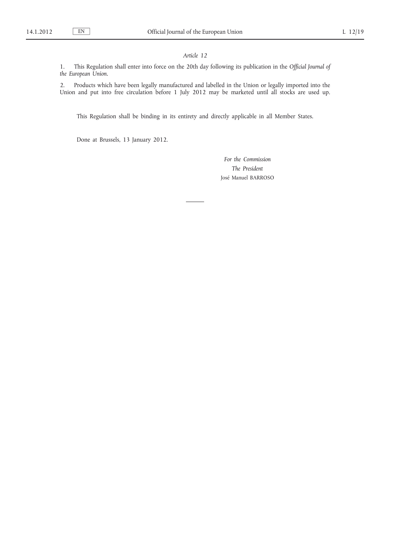### *Article 12*

1. This Regulation shall enter into force on the 20th day following its publication in the *Official Journal of the European Union*.

2. Products which have been legally manufactured and labelled in the Union or legally imported into the Union and put into free circulation before 1 July 2012 may be marketed until all stocks are used up.

This Regulation shall be binding in its entirety and directly applicable in all Member States.

Done at Brussels, 13 January 2012.

*For the Commission The President* José Manuel BARROSO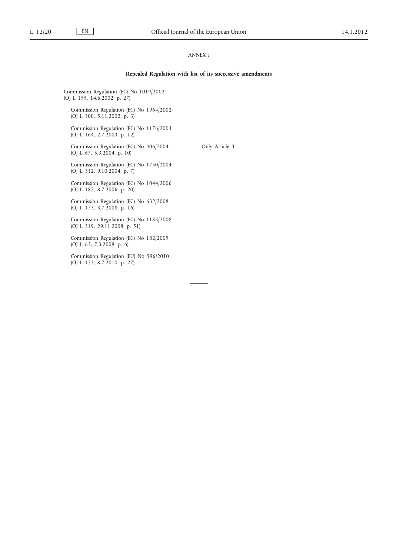### *ANNEX I*

#### **Repealed Regulation with list of its successive amendments**

Only Article 3

Commission Regulation (EC) No 1019/2002 (OJ L 155, 14.6.2002, p. 27)

Commission Regulation (EC) No 1964/2002 (OJ L 300, 5.11.2002, p. 3)

Commission Regulation (EC) No 1176/2003 (OJ L 164, 2.7.2003, p. 12)

Commission Regulation (EC) No 406/2004 (OJ L 67, 5.3.2004, p. 10)

Commission Regulation (EC) No 1750/2004 (OJ L 312, 9.10.2004, p. 7)

Commission Regulation (EC) No 1044/2006 (OJ L 187, 8.7.2006, p. 20)

Commission Regulation (EC) No 632/2008 (OJ L 173, 3.7.2008, p. 16)

Commission Regulation (EC) No 1183/2008 (OJ L 319, 29.11.2008, p. 51)

Commission Regulation (EC) No 182/2009 (OJ L 63, 7.3.2009, p. 6)

Commission Regulation (EU) No 596/2010 (OJ L 173, 8.7.2010, p. 27)